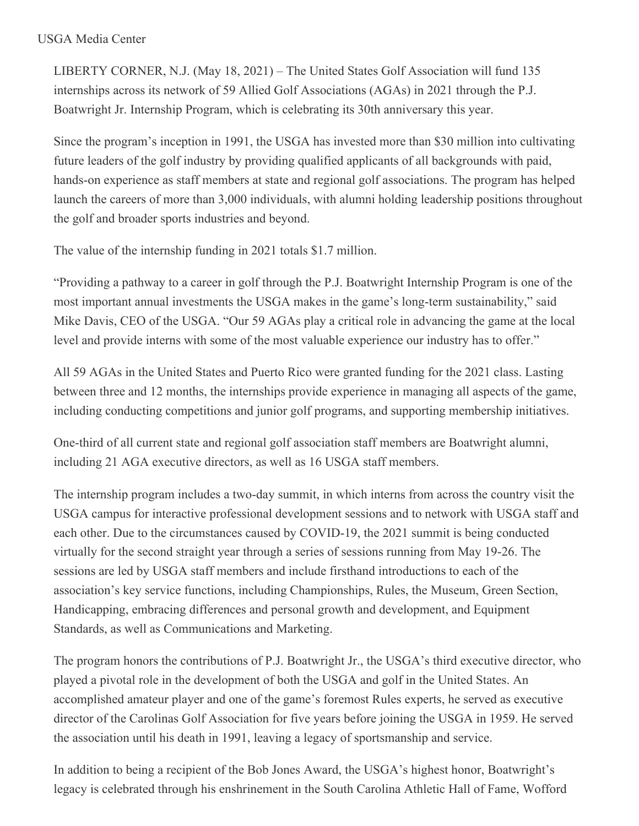## USGA Media Center

LIBERTY CORNER, N.J. (May 18, 2021) – The United States Golf Association will fund 135 internships across its network of 59 Allied Golf Associations (AGAs) in 2021 through the P.J. Boatwright Jr. Internship Program, which is celebrating its 30th anniversary this year.

Since the program's inception in 1991, the USGA has invested more than \$30 million into cultivating future leaders of the golf industry by providing qualified applicants of all backgrounds with paid, hands-on experience as staff members at state and regional golf associations. The program has helped launch the careers of more than 3,000 individuals, with alumni holding leadership positions throughout the golf and broader sports industries and beyond.

The value of the internship funding in 2021 totals \$1.7 million.

"Providing a pathway to a career in golf through the P.J. Boatwright Internship Program is one of the most important annual investments the USGA makes in the game's long-term sustainability," said Mike Davis, CEO of the USGA. "Our 59 AGAs play a critical role in advancing the game at the local level and provide interns with some of the most valuable experience our industry has to offer."

All 59 AGAs in the United States and Puerto Rico were granted funding for the 2021 class. Lasting between three and 12 months, the internships provide experience in managing all aspects of the game, including conducting competitions and junior golf programs, and supporting membership initiatives.

One-third of all current state and regional golf association staff members are Boatwright alumni, including 21 AGA executive directors, as well as 16 USGA staff members.

The internship program includes a two-day summit, in which interns from across the country visit the USGA campus for interactive professional development sessions and to network with USGA staff and each other. Due to the circumstances caused by COVID-19, the 2021 summit is being conducted virtually for the second straight year through a series of sessions running from May 19-26. The sessions are led by USGA staff members and include firsthand introductions to each of the association's key service functions, including Championships, Rules, the Museum, Green Section, Handicapping, embracing differences and personal growth and development, and Equipment Standards, as well as Communications and Marketing.

The program honors the contributions of P.J. Boatwright Jr., the USGA's third executive director, who played a pivotal role in the development of both the USGA and golf in the United States. An accomplished amateur player and one of the game's foremost Rules experts, he served as executive director of the Carolinas Golf Association for five years before joining the USGA in 1959. He served the association until his death in 1991, leaving a legacy of sportsmanship and service.

In addition to being a recipient of the Bob Jones Award, the USGA's highest honor, Boatwright's legacy is celebrated through his enshrinement in the South Carolina Athletic Hall of Fame, Wofford